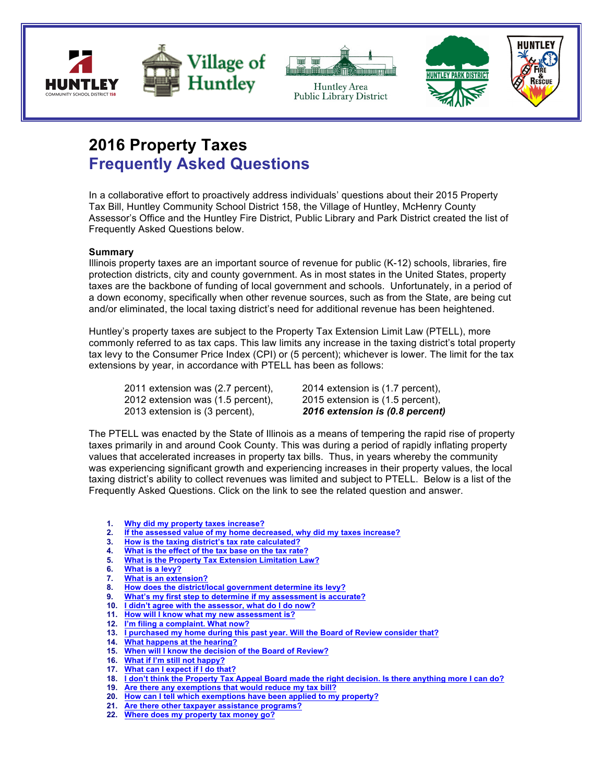



Huntley Area Public Library District



# **2016 Property Taxes Frequently Asked Questions**

In a collaborative effort to proactively address individuals' questions about their 2015 Property Tax Bill, Huntley Community School District 158, the Village of Huntley, McHenry County Assessor's Office and the Huntley Fire District, Public Library and Park District created the list of Frequently Asked Questions below.

#### **Summary**

Illinois property taxes are an important source of revenue for public (K-12) schools, libraries, fire protection districts, city and county government. As in most states in the United States, property taxes are the backbone of funding of local government and schools. Unfortunately, in a period of a down economy, specifically when other revenue sources, such as from the State, are being cut and/or eliminated, the local taxing district's need for additional revenue has been heightened.

Huntley's property taxes are subject to the Property Tax Extension Limit Law (PTELL), more commonly referred to as tax caps. This law limits any increase in the taxing district's total property tax levy to the Consumer Price Index (CPI) or (5 percent); whichever is lower. The limit for the tax extensions by year, in accordance with PTELL has been as follows:

2011 extension was (2.7 percent), 2014 extension is (1.7 percent), 2012 extension was (1.5 percent), 2015 extension is (1.5 percent), 2013 extension is (3 percent), *2016 extension is (0.8 percent)*

The PTELL was enacted by the State of Illinois as a means of tempering the rapid rise of property taxes primarily in and around Cook County. This was during a period of rapidly inflating property values that accelerated increases in property tax bills. Thus, in years whereby the community was experiencing significant growth and experiencing increases in their property values, the local taxing district's ability to collect revenues was limited and subject to PTELL. Below is a list of the Frequently Asked Questions. Click on the link to see the related question and answer.

- **1. Why did my property taxes increase?**
- **2. If the assessed value of my home decreased, why did my taxes increase?**
- **3. How is the taxing district's tax rate calculated?**
- **4. What is the effect of the tax base on the tax rate?**
- **5. What is the Property Tax Extension Limitation Law?**
- **6. What is a levy?**
- **7. What is an extension?**
- **8. How does the district/local government determine its levy?**
- **9. What's my first step to determine if my assessment is accurate?**
- **10. I didn't agree with the assessor, what do I do now?**
- **11. How will I know what my new assessment is?**
- **12. I'm filing a complaint. What now?**
- **13. I purchased my home during this past year. Will the Board of Review consider that?**
- **14. What happens at the hearing?**
- **15. When will I know the decision of the Board of Review?**
- **16. What if I'm still not happy?**
- **17. What can I expect if I do that?**
- **18. I don't think the Property Tax Appeal Board made the right decision. Is there anything more I can do?**
- **19. Are there any exemptions that would reduce my tax bill?**
- **20. How can I tell which exemptions have been applied to my property?**
- **21. Are there other taxpayer assistance programs?**
- **22. Where does my property tax money go?**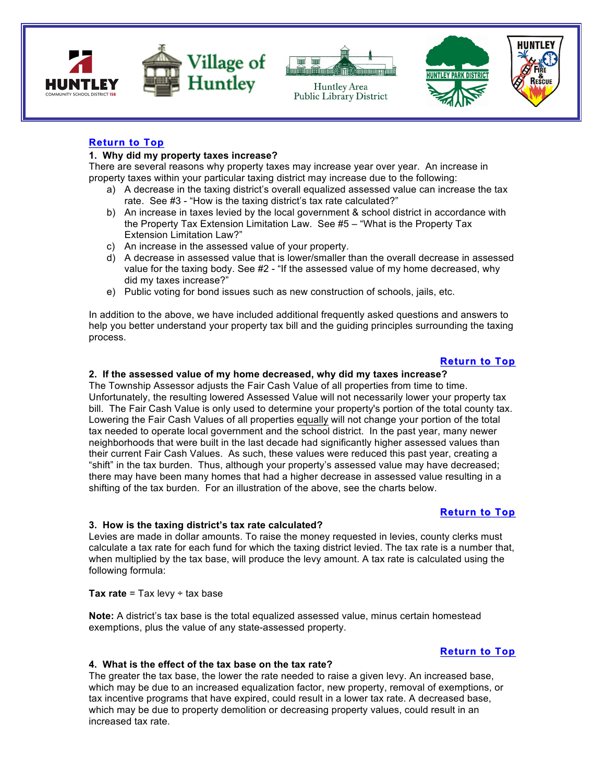



Huntley Area





# **Return to Top**

## **1. Why did my property taxes increase?**

There are several reasons why property taxes may increase year over year. An increase in property taxes within your particular taxing district may increase due to the following:

- a) A decrease in the taxing district's overall equalized assessed value can increase the tax rate. See #3 - "How is the taxing district's tax rate calculated?"
- b) An increase in taxes levied by the local government & school district in accordance with the Property Tax Extension Limitation Law. See #5 – "What is the Property Tax Extension Limitation Law?"
- c) An increase in the assessed value of your property.
- d) A decrease in assessed value that is lower/smaller than the overall decrease in assessed value for the taxing body. See #2 - "If the assessed value of my home decreased, why did my taxes increase?"
- e) Public voting for bond issues such as new construction of schools, jails, etc.

In addition to the above, we have included additional frequently asked questions and answers to help you better understand your property tax bill and the guiding principles surrounding the taxing process.

# **Return to Top**

# **2. If the assessed value of my home decreased, why did my taxes increase?**

The Township Assessor adjusts the Fair Cash Value of all properties from time to time. Unfortunately, the resulting lowered Assessed Value will not necessarily lower your property tax bill. The Fair Cash Value is only used to determine your property's portion of the total county tax. Lowering the Fair Cash Values of all properties equally will not change your portion of the total tax needed to operate local government and the school district. In the past year, many newer neighborhoods that were built in the last decade had significantly higher assessed values than their current Fair Cash Values. As such, these values were reduced this past year, creating a "shift" in the tax burden. Thus, although your property's assessed value may have decreased; there may have been many homes that had a higher decrease in assessed value resulting in a shifting of the tax burden. For an illustration of the above, see the charts below.

# **Return to Top**

#### **3. How is the taxing district's tax rate calculated?**

Levies are made in dollar amounts. To raise the money requested in levies, county clerks must calculate a tax rate for each fund for which the taxing district levied. The tax rate is a number that, when multiplied by the tax base, will produce the levy amount. A tax rate is calculated using the following formula:

**Tax rate = Tax levy**  $\div$  **tax base** 

**Note:** A district's tax base is the total equalized assessed value, minus certain homestead exemptions, plus the value of any state-assessed property.

# **Return to Top**

#### **4. What is the effect of the tax base on the tax rate?**

The greater the tax base, the lower the rate needed to raise a given levy. An increased base, which may be due to an increased equalization factor, new property, removal of exemptions, or tax incentive programs that have expired, could result in a lower tax rate. A decreased base, which may be due to property demolition or decreasing property values, could result in an increased tax rate.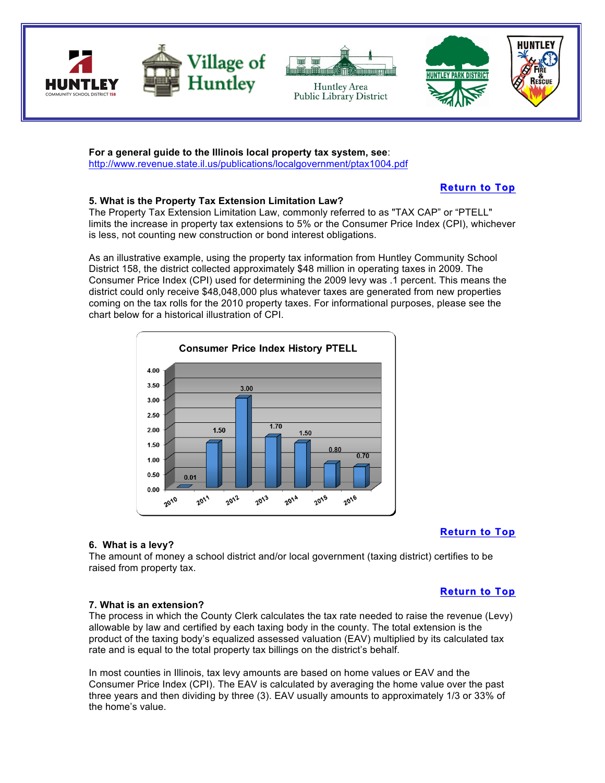

**For a general guide to the Illinois local property tax system, see**: http://www.revenue.state.il.us/publications/localgovernment/ptax1004.pdf

**Return to Top**

# **5. What is the Property Tax Extension Limitation Law?**

The Property Tax Extension Limitation Law, commonly referred to as "TAX CAP" or "PTELL" limits the increase in property tax extensions to 5% or the Consumer Price Index (CPI), whichever is less, not counting new construction or bond interest obligations.

As an illustrative example, using the property tax information from Huntley Community School District 158, the district collected approximately \$48 million in operating taxes in 2009. The Consumer Price Index (CPI) used for determining the 2009 levy was .1 percent. This means the district could only receive \$48,048,000 plus whatever taxes are generated from new properties coming on the tax rolls for the 2010 property taxes. For informational purposes, please see the chart below for a historical illustration of CPI.



# **Return to Top**

**Return to Top**

# **6. What is a levy?**

The amount of money a school district and/or local government (taxing district) certifies to be raised from property tax.

# **7. What is an extension?**

The process in which the County Clerk calculates the tax rate needed to raise the revenue (Levy) allowable by law and certified by each taxing body in the county. The total extension is the product of the taxing body's equalized assessed valuation (EAV) multiplied by its calculated tax rate and is equal to the total property tax billings on the district's behalf.

In most counties in Illinois, tax levy amounts are based on home values or EAV and the Consumer Price Index (CPI). The EAV is calculated by averaging the home value over the past three years and then dividing by three (3). EAV usually amounts to approximately 1/3 or 33% of the home's value.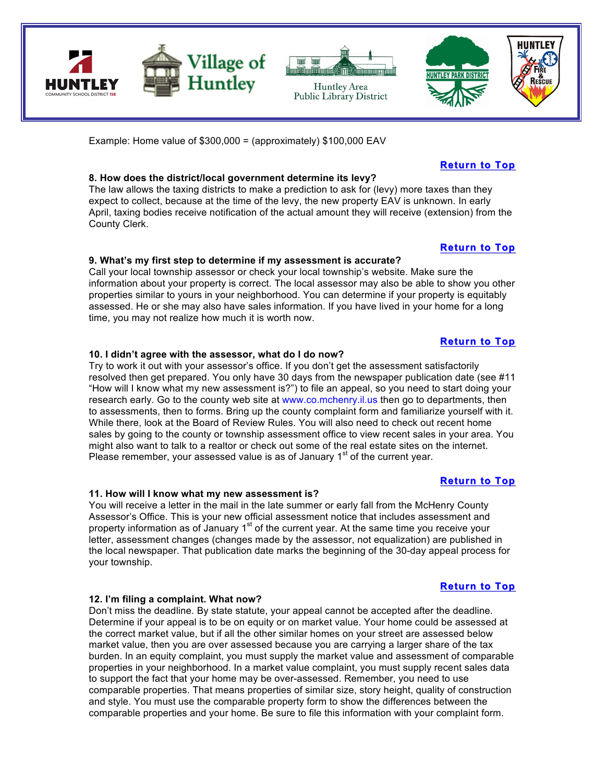

Example: Home value of \$300,000 = (approximately) \$100,000 EAV

# **8. How does the district/local government determine its levy?**

The law allows the taxing districts to make a prediction to ask for (levy) more taxes than they expect to collect, because at the time of the levy, the new property EAV is unknown. In early April, taxing bodies receive notification of the actual amount they will receive (extension) from the County Clerk.

# **9. What's my first step to determine if my assessment is accurate?**

Call your local township assessor or check your local township's website. Make sure the information about your property is correct. The local assessor may also be able to show you other properties similar to yours in your neighborhood. You can determine if your property is equitably assessed. He or she may also have sales information. If you have lived in your home for a long time, you may not realize how much it is worth now.

#### **10. I didn't agree with the assessor, what do I do now?**

Try to work it out with your assessor's office. If you don't get the assessment satisfactorily resolved then get prepared. You only have 30 days from the newspaper publication date (see #11 "How will I know what my new assessment is?") to file an appeal, so you need to start doing your research early. Go to the county web site at www.co.mchenry.il.us then go to departments, then to assessments, then to forms. Bring up the county complaint form and familiarize yourself with it. While there, look at the Board of Review Rules. You will also need to check out recent home sales by going to the county or township assessment office to view recent sales in your area. You might also want to talk to a realtor or check out some of the real estate sites on the internet. Please remember, your assessed value is as of January  $1<sup>st</sup>$  of the current year.

#### **11. How will I know what my new assessment is?**

You will receive a letter in the mail in the late summer or early fall from the McHenry County Assessor's Office. This is your new official assessment notice that includes assessment and property information as of January  $1<sup>st</sup>$  of the current year. At the same time you receive your letter, assessment changes (changes made by the assessor, not equalization) are published in the local newspaper. That publication date marks the beginning of the 30-day appeal process for your township.

#### **12. I'm filing a complaint. What now?**

Don't miss the deadline. By state statute, your appeal cannot be accepted after the deadline. Determine if your appeal is to be on equity or on market value. Your home could be assessed at the correct market value, but if all the other similar homes on your street are assessed below market value, then you are over assessed because you are carrying a larger share of the tax burden. In an equity complaint, you must supply the market value and assessment of comparable properties in your neighborhood. In a market value complaint, you must supply recent sales data to support the fact that your home may be over-assessed. Remember, you need to use comparable properties. That means properties of similar size, story height, quality of construction and style. You must use the comparable property form to show the differences between the comparable properties and your home. Be sure to file this information with your complaint form.

# **Return to Top**

**Return to Top**

# **Return to Top**

# **Return to Top**

**Return to Top**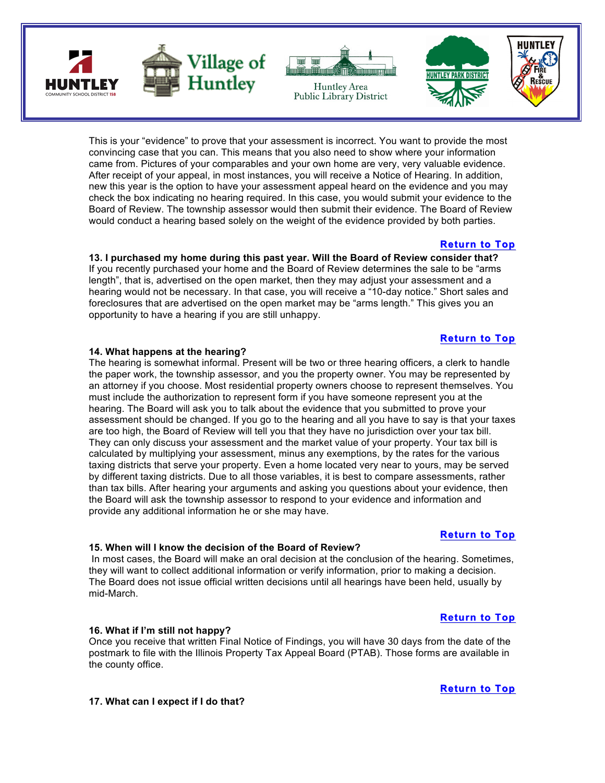





This is your "evidence" to prove that your assessment is incorrect. You want to provide the most convincing case that you can. This means that you also need to show where your information came from. Pictures of your comparables and your own home are very, very valuable evidence. After receipt of your appeal, in most instances, you will receive a Notice of Hearing. In addition, new this year is the option to have your assessment appeal heard on the evidence and you may check the box indicating no hearing required. In this case, you would submit your evidence to the Board of Review. The township assessor would then submit their evidence. The Board of Review would conduct a hearing based solely on the weight of the evidence provided by both parties.

# **Return to Top**

**13. I purchased my home during this past year. Will the Board of Review consider that?**  If you recently purchased your home and the Board of Review determines the sale to be "arms length", that is, advertised on the open market, then they may adjust your assessment and a hearing would not be necessary. In that case, you will receive a "10-day notice." Short sales and foreclosures that are advertised on the open market may be "arms length." This gives you an opportunity to have a hearing if you are still unhappy.

# **Return to Top**

#### **14. What happens at the hearing?**

The hearing is somewhat informal. Present will be two or three hearing officers, a clerk to handle the paper work, the township assessor, and you the property owner. You may be represented by an attorney if you choose. Most residential property owners choose to represent themselves. You must include the authorization to represent form if you have someone represent you at the hearing. The Board will ask you to talk about the evidence that you submitted to prove your assessment should be changed. If you go to the hearing and all you have to say is that your taxes are too high, the Board of Review will tell you that they have no jurisdiction over your tax bill. They can only discuss your assessment and the market value of your property. Your tax bill is calculated by multiplying your assessment, minus any exemptions, by the rates for the various taxing districts that serve your property. Even a home located very near to yours, may be served by different taxing districts. Due to all those variables, it is best to compare assessments, rather than tax bills. After hearing your arguments and asking you questions about your evidence, then the Board will ask the township assessor to respond to your evidence and information and provide any additional information he or she may have.

#### **15. When will I know the decision of the Board of Review?**

In most cases, the Board will make an oral decision at the conclusion of the hearing. Sometimes, they will want to collect additional information or verify information, prior to making a decision. The Board does not issue official written decisions until all hearings have been held, usually by mid-March.

#### **16. What if I'm still not happy?**

Once you receive that written Final Notice of Findings, you will have 30 days from the date of the postmark to file with the Illinois Property Tax Appeal Board (PTAB). Those forms are available in the county office.

#### **17. What can I expect if I do that?**

# **Return to Top**

**Return to Top**

**Return to Top**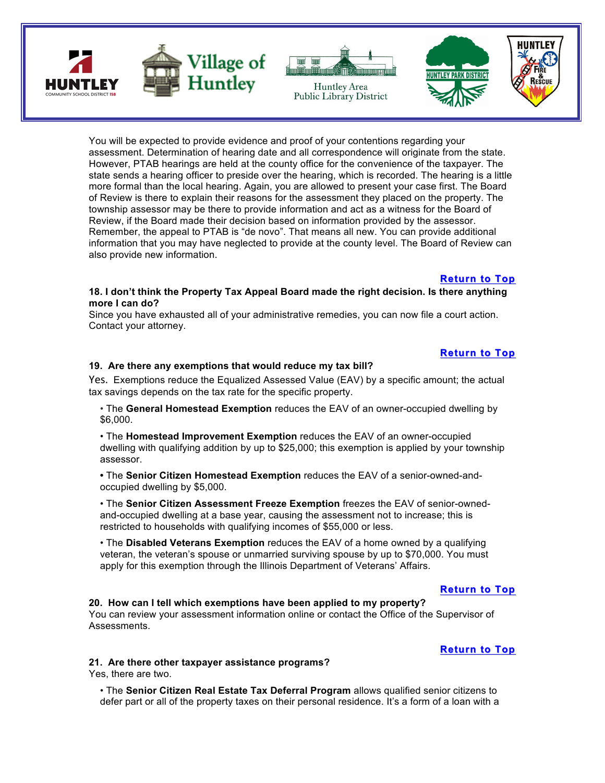



Huntley Area



You will be expected to provide evidence and proof of your contentions regarding your assessment. Determination of hearing date and all correspondence will originate from the state. However, PTAB hearings are held at the county office for the convenience of the taxpayer. The state sends a hearing officer to preside over the hearing, which is recorded. The hearing is a little more formal than the local hearing. Again, you are allowed to present your case first. The Board of Review is there to explain their reasons for the assessment they placed on the property. The township assessor may be there to provide information and act as a witness for the Board of Review, if the Board made their decision based on information provided by the assessor. Remember, the appeal to PTAB is "de novo". That means all new. You can provide additional information that you may have neglected to provide at the county level. The Board of Review can also provide new information.

#### **Return to Top**

#### **18. I don't think the Property Tax Appeal Board made the right decision. Is there anything more I can do?**

Since you have exhausted all of your administrative remedies, you can now file a court action. Contact your attorney.

# **Return to Top**

#### **19. Are there any exemptions that would reduce my tax bill?**

Yes. Exemptions reduce the Equalized Assessed Value (EAV) by a specific amount; the actual tax savings depends on the tax rate for the specific property.

• The **General Homestead Exemption** reduces the EAV of an owner-occupied dwelling by \$6,000.

• The **Homestead Improvement Exemption** reduces the EAV of an owner-occupied dwelling with qualifying addition by up to \$25,000; this exemption is applied by your township assessor.

**•** The **Senior Citizen Homestead Exemption** reduces the EAV of a senior-owned-andoccupied dwelling by \$5,000.

• The **Senior Citizen Assessment Freeze Exemption** freezes the EAV of senior-ownedand-occupied dwelling at a base year, causing the assessment not to increase; this is restricted to households with qualifying incomes of \$55,000 or less.

• The **Disabled Veterans Exemption** reduces the EAV of a home owned by a qualifying veteran, the veteran's spouse or unmarried surviving spouse by up to \$70,000. You must apply for this exemption through the Illinois Department of Veterans' Affairs.

# **Return to Top**

# **20. How can I tell which exemptions have been applied to my property?**

You can review your assessment information online or contact the Office of the Supervisor of Assessments.

# **Return to Top**

#### **21. Are there other taxpayer assistance programs?**

Yes, there are two.

• The **Senior Citizen Real Estate Tax Deferral Program** allows qualified senior citizens to defer part or all of the property taxes on their personal residence. It's a form of a loan with a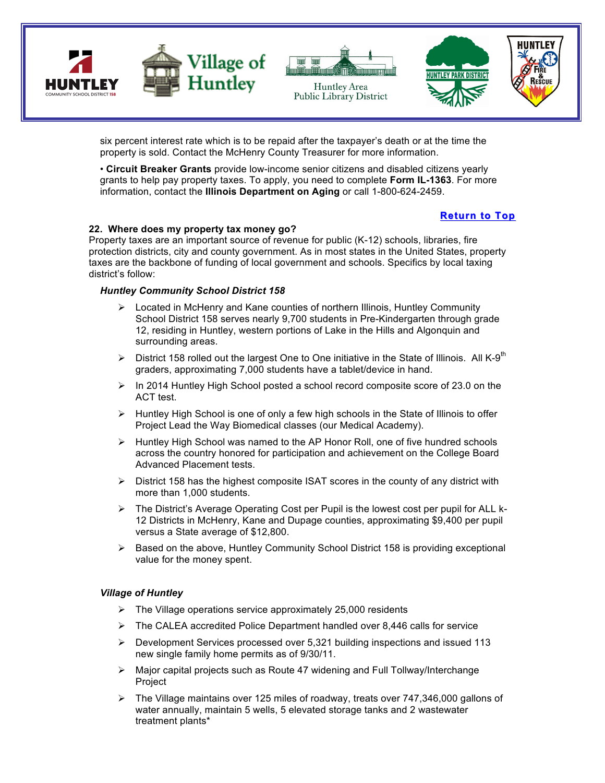

six percent interest rate which is to be repaid after the taxpayer's death or at the time the property is sold. Contact the McHenry County Treasurer for more information.

• **Circuit Breaker Grants** provide low-income senior citizens and disabled citizens yearly grants to help pay property taxes. To apply, you need to complete **Form IL-1363**. For more information, contact the **Illinois Department on Aging** or call 1-800-624-2459.

# **Return to Top**

#### **22. Where does my property tax money go?**

Property taxes are an important source of revenue for public (K-12) schools, libraries, fire protection districts, city and county government. As in most states in the United States, property taxes are the backbone of funding of local government and schools. Specifics by local taxing district's follow:

#### *Huntley Community School District 158*

- $\triangleright$  Located in McHenry and Kane counties of northern Illinois, Huntley Community School District 158 serves nearly 9,700 students in Pre-Kindergarten through grade 12, residing in Huntley, western portions of Lake in the Hills and Algonquin and surrounding areas.
- $\triangleright$  District 158 rolled out the largest One to One initiative in the State of Illinois. All K-9<sup>th</sup> graders, approximating 7,000 students have a tablet/device in hand.
- $\triangleright$  In 2014 Huntley High School posted a school record composite score of 23.0 on the ACT test.
- $\triangleright$  Huntley High School is one of only a few high schools in the State of Illinois to offer Project Lead the Way Biomedical classes (our Medical Academy).
- $\triangleright$  Huntley High School was named to the AP Honor Roll, one of five hundred schools across the country honored for participation and achievement on the College Board Advanced Placement tests.
- $\triangleright$  District 158 has the highest composite ISAT scores in the county of any district with more than 1,000 students.
- $\triangleright$  The District's Average Operating Cost per Pupil is the lowest cost per pupil for ALL k-12 Districts in McHenry, Kane and Dupage counties, approximating \$9,400 per pupil versus a State average of \$12,800.
- $\triangleright$  Based on the above, Huntley Community School District 158 is providing exceptional value for the money spent.

#### *Village of Huntley*

- $\triangleright$  The Village operations service approximately 25,000 residents
- $\triangleright$  The CALEA accredited Police Department handled over 8,446 calls for service
- $\triangleright$  Development Services processed over 5,321 building inspections and issued 113 new single family home permits as of 9/30/11.
- $\triangleright$  Major capital projects such as Route 47 widening and Full Tollway/Interchange **Project**
- $\triangleright$  The Village maintains over 125 miles of roadway, treats over 747,346,000 gallons of water annually, maintain 5 wells, 5 elevated storage tanks and 2 wastewater treatment plants\*